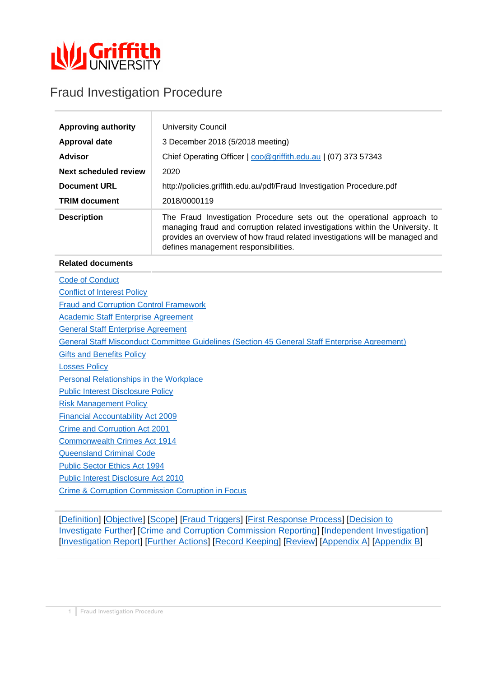

# Fraud Investigation Procedure

| <b>Approving authority</b>   | <b>University Council</b>                                                                                                                                                                                                                                                        |
|------------------------------|----------------------------------------------------------------------------------------------------------------------------------------------------------------------------------------------------------------------------------------------------------------------------------|
| Approval date                | 3 December 2018 (5/2018 meeting)                                                                                                                                                                                                                                                 |
| <b>Advisor</b>               | Chief Operating Officer   coo@griffith.edu.au   (07) 373 57343                                                                                                                                                                                                                   |
| <b>Next scheduled review</b> | 2020                                                                                                                                                                                                                                                                             |
| <b>Document URL</b>          | http://policies.griffith.edu.au/pdf/Fraud Investigation Procedure.pdf                                                                                                                                                                                                            |
| <b>TRIM document</b>         | 2018/0000119                                                                                                                                                                                                                                                                     |
| <b>Description</b>           | The Fraud Investigation Procedure sets out the operational approach to<br>managing fraud and corruption related investigations within the University. It<br>provides an overview of how fraud related investigations will be managed and<br>defines management responsibilities. |

### **Related documents**

[Code of Conduct](http://policies.griffith.edu.au/pdf/Code%20of%20Conduct.pdf) [Conflict of Interest Policy](http://policies.griffith.edu.au/pdf/Conflict%20of%20Interest%20Policy.pdf) [Fraud and Corruption Control Framework](https://policies.griffith.edu.au/pdf/Fraud%20and%20Corruption%20Control%20Framework.pdf) [Academic Staff Enterprise Agreement](https://policies.griffith.edu.au/pdf/Griffith%20University%20Academic%20Staff%20Enterprise%20Agreement%202017%20-%202021.pdf)  [General Staff Enterprise Agreement](https://policies.griffith.edu.au/pdf/Griffith%20University%20General%20Staff%20Enterprise%20Agreement%202012-2016.pdf)  [General Staff Misconduct Committee Guidelines \(Section 45 General Staff Enterprise Agreement\)](https://policies.griffith.edu.au/pdf/Griffith%20University%20General%20Staff%20Enterprise%20Agreement%202012-2016.pdf) [Gifts and Benefits Policy](http://policies.griffith.edu.au/pdf/Gifts%20and%20Benefits%20Policy.pdf) [Losses Policy](https://policies.griffith.edu.au/pdf/Losses%20Policy.pdf) [Personal Relationships in the Workplace](http://policies.griffith.edu.au/pdf/Personal%20Relationships%20in%20the%20Workplace.pdf) [Public Interest Disclosure Policy](https://policies.griffith.edu.au/pdf/Public%20Interest%20Disclosure%20Policy.pdf) [Risk Management Policy](http://policies.griffith.edu.au/pdf/Risk%20Management%20Policy.pdf) [Financial Accountability Act 2009](https://www.legislation.qld.gov.au/view/html/inforce/current/act-2009-009) [Crime and Corruption Act 2001](https://www.legislation.qld.gov.au/view/html/inforce/current/act-2001-069) [Commonwealth Crimes Act 1914](https://www.legislation.gov.au/Details/C2017C00297) [Queensland Criminal Code](https://www.legislation.qld.gov.au/view/html/inforce/current/act-1899-009) [Public Sector Ethics Act 1994](https://www.legislation.qld.gov.au/view/html/inforce/current/act-1994-067) [Public Interest Disclosure Act](https://www.legislation.qld.gov.au/view/html/inforce/current/act-2010-038) 2010 [Crime & Corruption Commission Corruption in Focus](http://www.ccc.qld.gov.au/corruption-prevention/corruption-in-focus)

[\[Definition\]](#page-1-0) [\[Objective\]](#page-1-1) [\[Scope\]](#page-1-2) [\[Fraud Triggers\]](#page-1-3) [\[First Response Process\]](#page-1-4) [\[Decision to](#page-4-0)  [Investigate Further\]](#page-4-0) [\[Crime and Corruption Commission Reporting\]](#page-4-1) [\[Independent Investigation\]](#page-4-2) [\[Investigation Report\]](#page-5-0) [\[Further Actions\]](#page-6-0) [\[Record Keeping\]](#page-6-1) [\[Review\]](#page-7-0) [\[Appendix A\]](#page-8-0) [\[Appendix B\]](#page-9-0)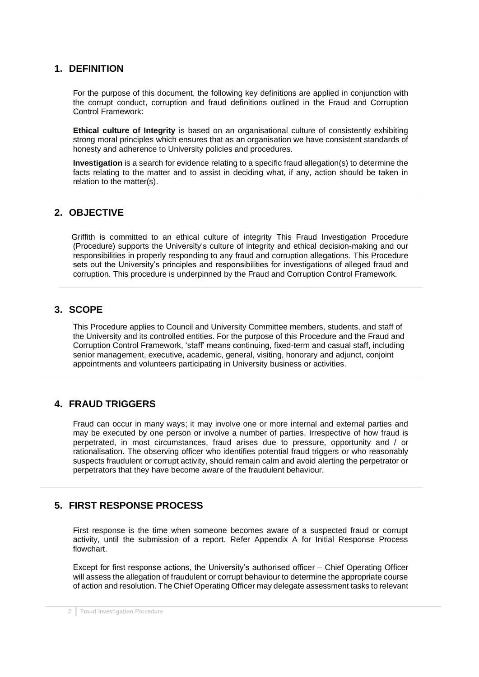### <span id="page-1-0"></span>**1. DEFINITION**

For the purpose of this document, the following key definitions are applied in conjunction with the corrupt conduct, corruption and fraud definitions outlined in the Fraud and Corruption Control Framework:

**Ethical culture of Integrity** is based on an organisational culture of consistently exhibiting strong moral principles which ensures that as an organisation we have consistent standards of honesty and adherence to University policies and procedures.

**Investigation** is a search for evidence relating to a specific fraud allegation(s) to determine the facts relating to the matter and to assist in deciding what, if any, action should be taken in relation to the matter(s).

# <span id="page-1-1"></span>**2. OBJECTIVE**

Griffith is committed to an ethical culture of integrity This Fraud Investigation Procedure (Procedure) supports the University's culture of integrity and ethical decision-making and our responsibilities in properly responding to any fraud and corruption allegations. This Procedure sets out the University's principles and responsibilities for investigations of alleged fraud and corruption. This procedure is underpinned by the Fraud and Corruption Control Framework.

# <span id="page-1-2"></span>**3. SCOPE**

This Procedure applies to Council and University Committee members, students, and staff of the University and its controlled entities. For the purpose of this Procedure and the Fraud and Corruption Control Framework, 'staff' means continuing, fixed-term and casual staff, including senior management, executive, academic, general, visiting, honorary and adjunct, conjoint appointments and volunteers participating in University business or activities.

# <span id="page-1-3"></span>**4. FRAUD TRIGGERS**

Fraud can occur in many ways; it may involve one or more internal and external parties and may be executed by one person or involve a number of parties. Irrespective of how fraud is perpetrated, in most circumstances, fraud arises due to pressure, opportunity and / or rationalisation. The observing officer who identifies potential fraud triggers or who reasonably suspects fraudulent or corrupt activity, should remain calm and avoid alerting the perpetrator or perpetrators that they have become aware of the fraudulent behaviour.

# <span id="page-1-4"></span>**5. FIRST RESPONSE PROCESS**

First response is the time when someone becomes aware of a suspected fraud or corrupt activity, until the submission of a report. Refer Appendix A for Initial Response Process flowchart.

Except for first response actions, the University's authorised officer – Chief Operating Officer will assess the allegation of fraudulent or corrupt behaviour to determine the appropriate course of action and resolution. The Chief Operating Officer may delegate assessment tasks to relevant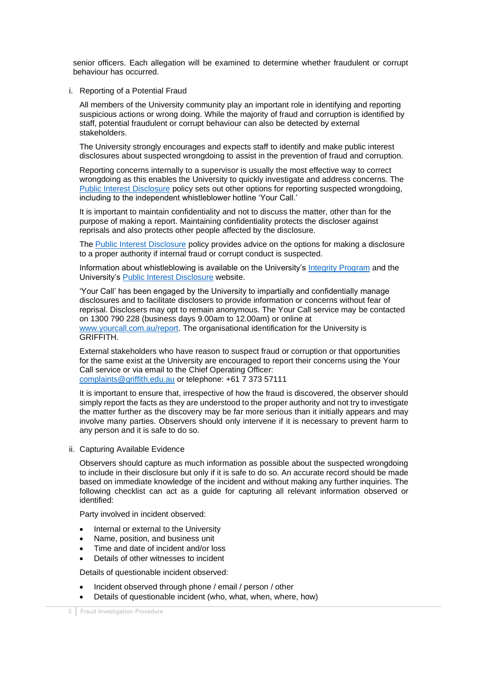senior officers. Each allegation will be examined to determine whether fraudulent or corrupt behaviour has occurred.

i. Reporting of a Potential Fraud

All members of the University community play an important role in identifying and reporting suspicious actions or wrong doing. While the majority of fraud and corruption is identified by staff, potential fraudulent or corrupt behaviour can also be detected by external stakeholders.

The University strongly encourages and expects staff to identify and make public interest disclosures about suspected wrongdoing to assist in the prevention of fraud and corruption.

Reporting concerns internally to a supervisor is usually the most effective way to correct wrongdoing as this enables the University to quickly investigate and address concerns. The [Public Interest Disclosure](https://policies.griffith.edu.au/pdf/Public%20Interest%20Disclosure%20Policy.pdf) policy sets out other options for reporting suspected wrongdoing, including to the independent whistleblower hotline 'Your Call.'

It is important to maintain confidentiality and not to discuss the matter, other than for the purpose of making a report. Maintaining confidentiality protects the discloser against reprisals and also protects other people affected by the disclosure.

The [Public Interest Disclosure](https://policies.griffith.edu.au/pdf/Public%20Interest%20Disclosure%20Policy.pdf) policy provides advice on the options for making a disclosure to a proper authority if internal fraud or corrupt conduct is suspected.

Information about whistleblowing is available on the University's [Integrity Program](https://intranet.secure.griffith.edu.au/work/integrity) and the University's [Public Interest Disclosure](https://www.griffith.edu.au/about-griffith/corporate-governance/whistleblowing) website.

'Your Call' has been engaged by the University to impartially and confidentially manage disclosures and to facilitate disclosers to provide information or concerns without fear of reprisal. Disclosers may opt to remain anonymous. The Your Call service may be contacted on 1300 790 228 (business days 9.00am to 12.00am) or online at [www.yourcall.com.au/report.](http://www.yourcall.com.au/report) The organisational identification for the University is GRIFFITH.

External stakeholders who have reason to suspect fraud or corruption or that opportunities for the same exist at the University are encouraged to report their concerns using the Your Call service or via email to the Chief Operating Officer: [complaints@griffith.edu.au](mailto:complaints@griffith.edu.au) or telephone: +61 7 373 57111

It is important to ensure that, irrespective of how the fraud is discovered, the observer should simply report the facts as they are understood to the proper authority and not try to investigate the matter further as the discovery may be far more serious than it initially appears and may involve many parties. Observers should only intervene if it is necessary to prevent harm to any person and it is safe to do so.

ii. Capturing Available Evidence

Observers should capture as much information as possible about the suspected wrongdoing to include in their disclosure but only if it is safe to do so. An accurate record should be made based on immediate knowledge of the incident and without making any further inquiries. The following checklist can act as a guide for capturing all relevant information observed or identified:

Party involved in incident observed:

- Internal or external to the University
- Name, position, and business unit
- Time and date of incident and/or loss
- Details of other witnesses to incident

Details of questionable incident observed:

- Incident observed through phone / email / person / other
- Details of questionable incident (who, what, when, where, how)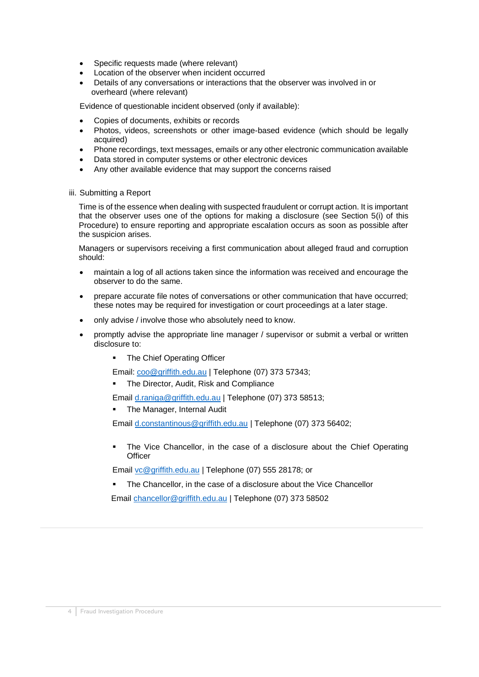- Specific requests made (where relevant)
- Location of the observer when incident occurred
- Details of any conversations or interactions that the observer was involved in or overheard (where relevant)

Evidence of questionable incident observed (only if available):

- Copies of documents, exhibits or records
- Photos, videos, screenshots or other image-based evidence (which should be legally acquired)
- Phone recordings, text messages, emails or any other electronic communication available
- Data stored in computer systems or other electronic devices
- Any other available evidence that may support the concerns raised
- iii. Submitting a Report

Time is of the essence when dealing with suspected fraudulent or corrupt action. It is important that the observer uses one of the options for making a disclosure (see Section 5(i) of this Procedure) to ensure reporting and appropriate escalation occurs as soon as possible after the suspicion arises.

Managers or supervisors receiving a first communication about alleged fraud and corruption should:

- maintain a log of all actions taken since the information was received and encourage the observer to do the same.
- prepare accurate file notes of conversations or other communication that have occurred; these notes may be required for investigation or court proceedings at a later stage.
- only advise / involve those who absolutely need to know.
- promptly advise the appropriate line manager / supervisor or submit a verbal or written disclosure to:
	- **•** The Chief Operating Officer

Email: [coo@griffith.edu.au](mailto:coo@griffith.edu.au) | Telephone (07) 373 57343;

The Director, Audit, Risk and Compliance

Email [d.raniga@griffith.edu.au](mailto:d.raniga@griffith.edu.au) | Telephone (07) 373 58513;

The Manager, Internal Audit

Email [d.constantinous@griffith.edu.au](mailto:d.constantinous@griffith.edu.au) | Telephone (07) 373 56402;

The Vice Chancellor, in the case of a disclosure about the Chief Operating **Officer** 

l

Email [vc@griffith.edu.au](mailto:vc@griffith.edu.au) | Telephone (07) 555 28178; or

The Chancellor, in the case of a disclosure about the Vice Chancellor

Email [chancellor@griffith.edu.au](mailto:chancellor@griffith.edu.au) | Telephone (07) 373 58502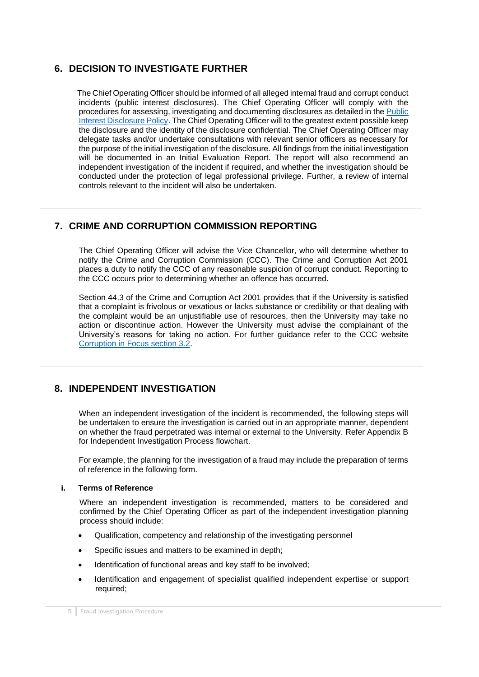# <span id="page-4-0"></span>**6. DECISION TO INVESTIGATE FURTHER**

The Chief Operating Officer should be informed of all allegedinternalfraud and corrupt conduct incidents (public interest disclosures). The Chief Operating Officer will comply with the procedures for assessing, investigating and documenting disclosures as detailed in the [Public](https://policies.griffith.edu.au/pdf/Public%20Interest%20Disclosure%20Policy.pdf)  [Interest Disclosure Policy.](https://policies.griffith.edu.au/pdf/Public%20Interest%20Disclosure%20Policy.pdf) The Chief Operating Officer will to the greatest extent possible keep the disclosure and the identity of the disclosure confidential. The Chief Operating Officer may delegate tasks and/or undertake consultations with relevant senior officers as necessary for the purpose of the initial investigation of the disclosure. All findings from the initial investigation will be documented in an Initial Evaluation Report. The report will also recommend an independent investigation of the incident if required, and whether the investigation should be conducted under the protection of legal professional privilege. Further, a review of internal controls relevant to the incident will also be undertaken.

# <span id="page-4-1"></span>**7. CRIME AND CORRUPTION COMMISSION REPORTING**

The Chief Operating Officer will advise the Vice Chancellor, who will determine whether to notify the Crime and Corruption Commission (CCC). The Crime and Corruption Act 2001 places a duty to notify the CCC of any reasonable suspicion of corrupt conduct. Reporting to the CCC occurs prior to determining whether an offence has occurred.

Section 44.3 of the Crime and Corruption Act 2001 provides that if the University is satisfied that a complaint is frivolous or vexatious or lacks substance or credibility or that dealing with the complaint would be an unjustifiable use of resources, then the University may take no action or discontinue action. However the University must advise the complainant of the University's reasons for taking no action. For further guidance refer to the CCC website [Corruption in Focus section 3.2.](file:///C:/Users/s1371972/Downloads/corruption-in-focus-chapter3-October2014.pdf)

# <span id="page-4-2"></span>**8. INDEPENDENT INVESTIGATION**

When an independent investigation of the incident is recommended, the following steps will be undertaken to ensure the investigation is carried out in an appropriate manner, dependent on whether the fraud perpetrated was internal or external to the University. Refer Appendix B for Independent Investigation Process flowchart.

For example, the planning for the investigation of a fraud may include the preparation of terms of reference in the following form.

### **i. Terms of Reference**

Where an independent investigation is recommended, matters to be considered and confirmed by the Chief Operating Officer as part of the independent investigation planning process should include:

- Qualification, competency and relationship of the investigating personnel
- Specific issues and matters to be examined in depth;
- Identification of functional areas and key staff to be involved;
- Identification and engagement of specialist qualified independent expertise or support required;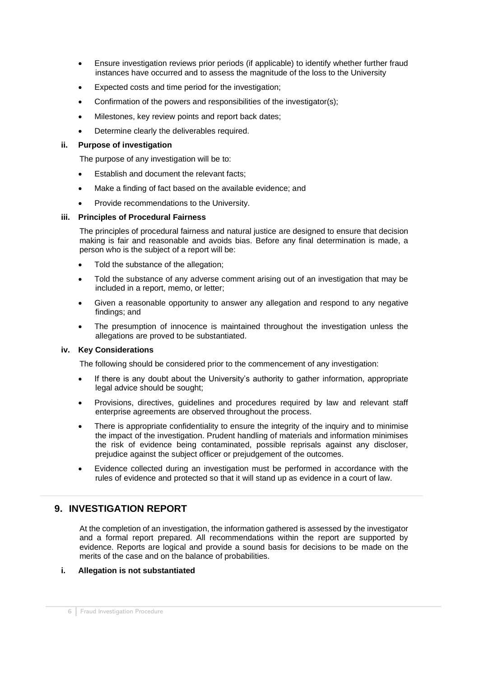- Ensure investigation reviews prior periods (if applicable) to identify whether further fraud instances have occurred and to assess the magnitude of the loss to the University
- Expected costs and time period for the investigation:
- Confirmation of the powers and responsibilities of the investigator(s);
- Milestones, key review points and report back dates;
- Determine clearly the deliverables required.

### **ii. Purpose of investigation**

The purpose of any investigation will be to:

- Establish and document the relevant facts:
- Make a finding of fact based on the available evidence; and
- Provide recommendations to the University.

### **iii. Principles of Procedural Fairness**

The principles of procedural fairness and natural justice are designed to ensure that decision making is fair and reasonable and avoids bias. Before any final determination is made, a person who is the subject of a report will be:

- Told the substance of the allegation;
- Told the substance of any adverse comment arising out of an investigation that may be included in a report, memo, or letter;
- Given a reasonable opportunity to answer any allegation and respond to any negative findings; and
- The presumption of innocence is maintained throughout the investigation unless the allegations are proved to be substantiated.

### **iv. Key Considerations**

The following should be considered prior to the commencement of any investigation:

- If there is any doubt about the University's authority to gather information, appropriate legal advice should be sought;
- Provisions, directives, guidelines and procedures required by law and relevant staff enterprise agreements are observed throughout the process.
- There is appropriate confidentiality to ensure the integrity of the inquiry and to minimise the impact of the investigation. Prudent handling of materials and information minimises the risk of evidence being contaminated, possible reprisals against any discloser, prejudice against the subject officer or prejudgement of the outcomes.
- Evidence collected during an investigation must be performed in accordance with the rules of evidence and protected so that it will stand up as evidence in a court of law.

# <span id="page-5-0"></span>**9. INVESTIGATION REPORT**

At the completion of an investigation, the information gathered is assessed by the investigator and a formal report prepared. All recommendations within the report are supported by evidence. Reports are logical and provide a sound basis for decisions to be made on the merits of the case and on the balance of probabilities.

### **i. Allegation is not substantiated**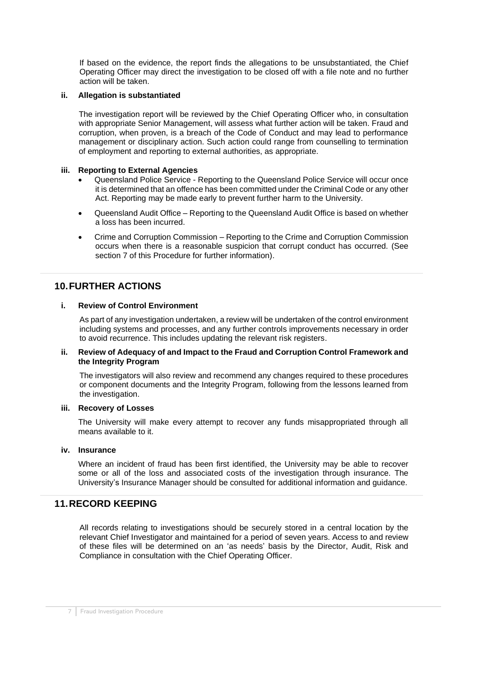If based on the evidence, the report finds the allegations to be unsubstantiated, the Chief Operating Officer may direct the investigation to be closed off with a file note and no further action will be taken.

### **ii. Allegation is substantiated**

The investigation report will be reviewed by the Chief Operating Officer who, in consultation with appropriate Senior Management, will assess what further action will be taken. Fraud and corruption, when proven, is a breach of the Code of Conduct and may lead to performance management or disciplinary action. Such action could range from counselling to termination of employment and reporting to external authorities, as appropriate.

#### **iii. Reporting to External Agencies**

- Queensland Police Service Reporting to the Queensland Police Service will occur once it is determined that an offence has been committed under the Criminal Code or any other Act. Reporting may be made early to prevent further harm to the University.
- Queensland Audit Office Reporting to the Queensland Audit Office is based on whether a loss has been incurred.
- Crime and Corruption Commission Reporting to the Crime and Corruption Commission occurs when there is a reasonable suspicion that corrupt conduct has occurred. (See section 7 of this Procedure for further information).

## <span id="page-6-0"></span>**10.FURTHER ACTIONS**

### **i. Review of Control Environment**

As part of any investigation undertaken, a review will be undertaken of the control environment including systems and processes, and any further controls improvements necessary in order to avoid recurrence. This includes updating the relevant risk registers.

#### **ii. Review of Adequacy of and Impact to the Fraud and Corruption Control Framework and the Integrity Program**

The investigators will also review and recommend any changes required to these procedures or component documents and the Integrity Program, following from the lessons learned from the investigation.

#### **iii. Recovery of Losses**

The University will make every attempt to recover any funds misappropriated through all means available to it.

#### **iv. Insurance**

Where an incident of fraud has been first identified, the University may be able to recover some or all of the loss and associated costs of the investigation through insurance. The University's Insurance Manager should be consulted for additional information and guidance.

### <span id="page-6-1"></span>**11.RECORD KEEPING**

All records relating to investigations should be securely stored in a central location by the relevant Chief Investigator and maintained for a period of seven years. Access to and review of these files will be determined on an 'as needs' basis by the Director, Audit, Risk and Compliance in consultation with the Chief Operating Officer.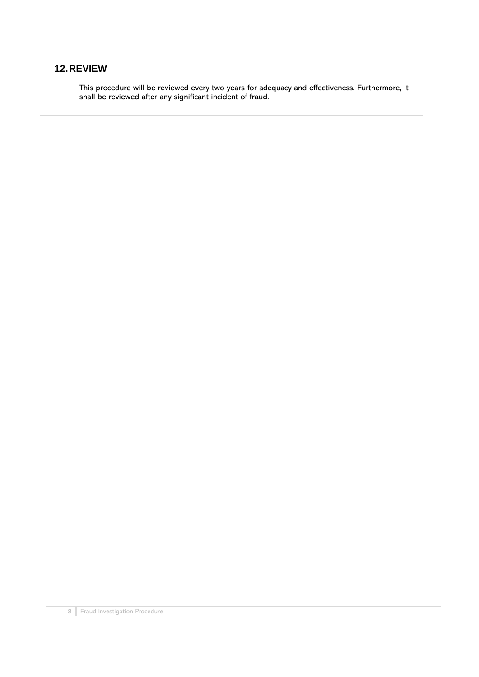# <span id="page-7-0"></span>**12.REVIEW**

This procedure will be reviewed every two years for adequacy and effectiveness. Furthermore, it shall be reviewed after any significant incident of fraud.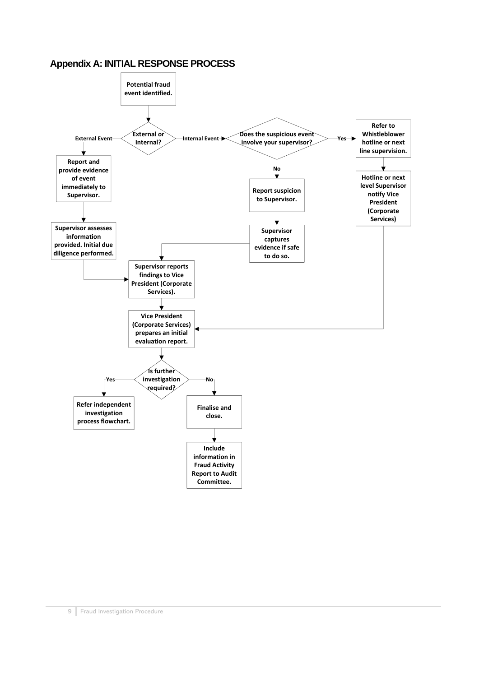## <span id="page-8-0"></span>**Appendix A: INITIAL RESPONSE PROCESS**